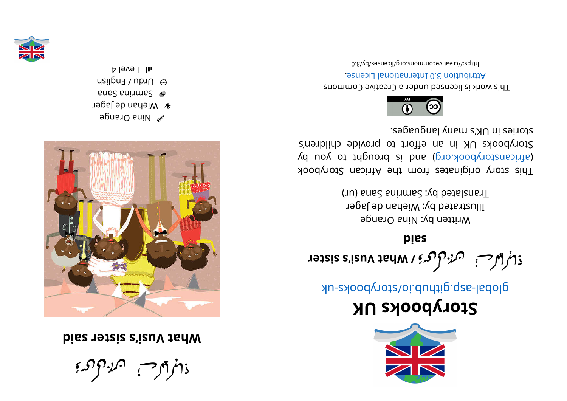ذاتراتهر فسنتهزأ المحديم

bise reter s'izuV tarm



- *S* Mina Orange
- **&** Wiehan de Jager
- **Samrina Sana**
- $\alpha$  Urdu / English
- $\upmu$  Level 4



Storybooks UK

global-asp.github.io/storybooks-uk

piss  $\mathcal{L}$ sisis s'izuV janul vanat vusi's sister

Translated by: Samrina Sana (ur) Illustrated by: Wiehan de Jager Written by: Nina Orange

stories in UK's many languages. Storybooks UK in an effort to provide children's (africanstorybook.org) and is brought to you by This story originates from the African Storybook



0.8\vd\zeativecommons.org/licenses/by/3.0 Attribution 3.0 International License. This work is licensed under a Creative Commons

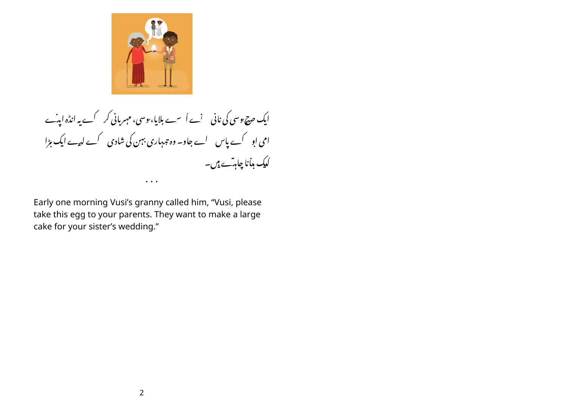

ایک صح یوسی کی نانی پسنے اُسے بلایا،یوسی، مہربانی کر کے یہ انڈہ ایہ ہے امی او کے پاس لے جاو۔ وہ تہہاری بہن کی شادی کے لیے ایک مڑا کدیک بدانا چاہ<sup>ت</sup>ے ہیں۔  $\cdots$ 

Early one morning Vusi's granny called him, "Vusi, please take this egg to your parents. They want to make a large cake for your sister's wedding."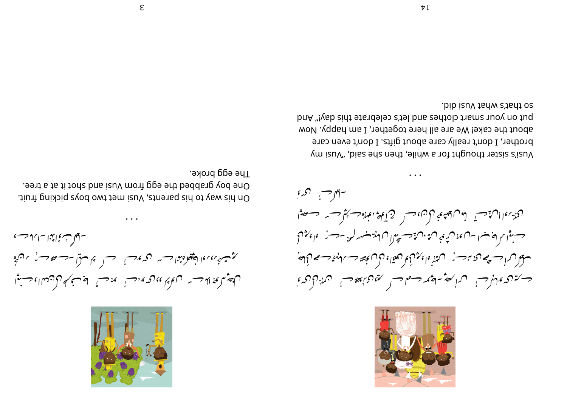

۔ ایل ٹ ٹی ایمزا ۔ابرا جے بوت نارا الغيوه مندا ت مع من السيس المعنى المستنار المستنار المستنار المن المن المن المن المن المن ا رکھيەنجو لاھسىس رائم مى مەرجىمىن مەھلىق كەستىم كەن مەماي كەستىرا

The egg broke. One boy grabbed the egg from Vusi and shot it at a tree. On his way to his parents, Vusi met two boys picking fruit.



-ٻيرڪس گري ان من المقاملة حسيد المواطنة بم يون، حس<sub>ار ال</sub>محمد المعنى المعنى المستخرجة المستخرجة المستخرجة المستخرجة المستخر حسبثوا بالواب اساعهون محجبي فسالا يستشهر المن المنه المسلسل والملحف والمحبرات سوثل مساحسة والتدبيب المتنبذ والجمير لوثيا والحاكم وسيستعل والمنينة وستعلم لألصبه حسكة هديم المراجع المستحمد المستعرض متفادي بهدئ والمنادر المراهيمي

so that's what Vusi did. put on your smart clothes and let's celebrate this day!" And about the cake! We are all here together, I am happy. Now brother, I don't really care about gifts. I don't even care yusi's sister thought for a while, then she said, "Vusi my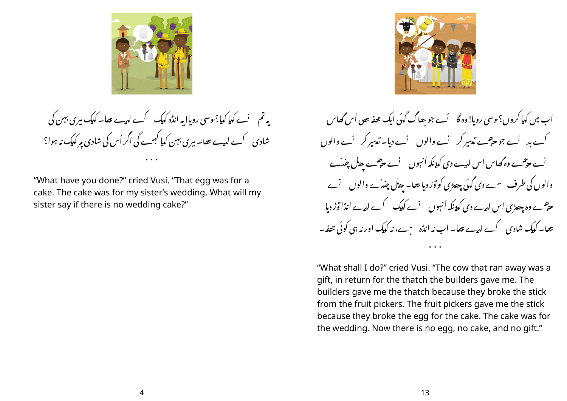

یہ تم غیرے کیا کیا؟ یوسی رویا! یہ انڈہ کیک گرے لہے تھا۔ کیک میری بہن کی شادی کے لیے تھا۔ میری بہن کیا کہے گی اگر اُس کی شادی مر کیک نہ ہوا؟

"What have you done?" cried Vusi. "That egg was for a cake. The cake was for my sister's wedding. What will my sister say if there is no wedding cake?"



اب میں کدا کروں؟یوسی روبا! وہ گا گئے جو ہھاگ گئی ایک تحفہ بیوں اُس گھاس <sup>ا</sup>ے حی<sup>ص</sup>ے وہ گھاس اس لی<sub>س</sub>ے دی ک<sub>ا</sub>ہ نکہ اُنہوں لیے حی<sup>ص</sup>ے بھ<sup>ل</sup> چنہ ے والوں کی طرف سے دی گ<sub>ی</sub>ں چھڑی کو توڑ دیا تھا۔ پھ<sup>ل</sup> چنہ ے والوں نے ۔<br>می<sup>ص</sup>ب وہ چھڑی اس لی<sub>س</sub>ے دی ک**ی**ونکہ اُنہوں نے کیک کے لی<sub>س</sub>ے انڈا وز دیا تھا۔ کدیک شادی کے لیے تھا۔ اب نہ انڈہ ہیے، نہ کدیک اور نہ ہی کوئی تعفہ۔

"What shall I do?" cried Vusi. "The cow that ran away was a gift, in return for the thatch the builders gave me. The builders gave me the thatch because they broke the stick from the fruit pickers. The fruit pickers gave me the stick because they broke the egg for the cake. The cake was for the wedding. Now there is no egg, no cake, and no gift."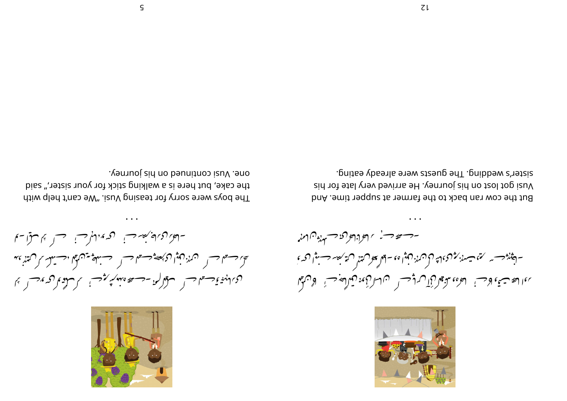

گھا جسٹا جس کے مزدرکمپوا کے بھیجے جسٹل جسٹ کھیلتھ ایک ایک مختلف کے کہتا ہے ، دی انگزی کمیتم کر مستقل کرد ک<del>ه در حد</del> مهدید مؤتمر می کرد و می کند و تخته از ایران

ventional continued on his journey. the cake, but here is a walking stick for your sister," said The boys were sorry for teasing Vusi. "We can't help with



- مستعد مسنى المعراد المراحن المناس - المجوزد— مرحمّة مشهند مزن من المثان المعلم المعنى المقرب المقدر من المحديث المحديد المحديد المحديد ندالقة تصنع لأحب العادو يدعون كآن ولياس المعارفي ورقابه والمعجل الأرابيلا

sister's wedding. The guests were already eating. Vusi got lost on his journey. He arrived very late for his But the cow ran back to the farmer at supper time. And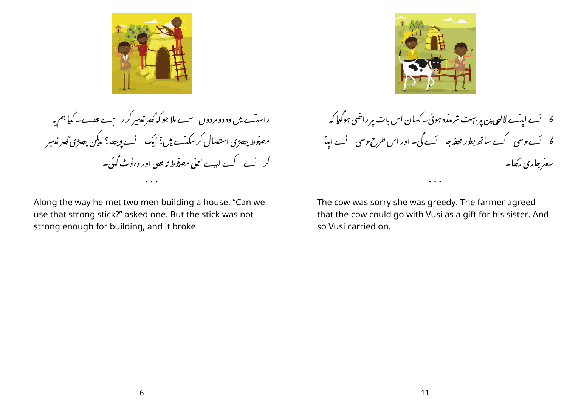

راسہ ًے میں وہ دو مردوں سے ملا جو کہ گھر تع<sup>ہ</sup>یر کر رہے تھے۔ کیا ہم یہ مص<del>نو</del>ط *جھڑی* استع<sup>ب</sup>ال کر سکتے ہیں؟ ایک ' نے وچھا؟ لدکین چھڑی گھر تع<sup>ہ</sup>یر کر نے کے لیے اتنی مصوفیط نہ بھی اور وہ ڈٹ گئی۔

Along the way he met two men building a house. "Can we use that strong stick?" asked one. But the stick was not strong enough for building, and it broke.



گا گئے ایپ الالب العی پن مِربہت شرمذہ ہوئی۔ کسان اس بات مِر راضی ہوگیا کہ سفر جاری رکھا۔

The cow was sorry she was greedy. The farmer agreed that the cow could go with Vusi as a gift for his sister. And so Vusi carried on.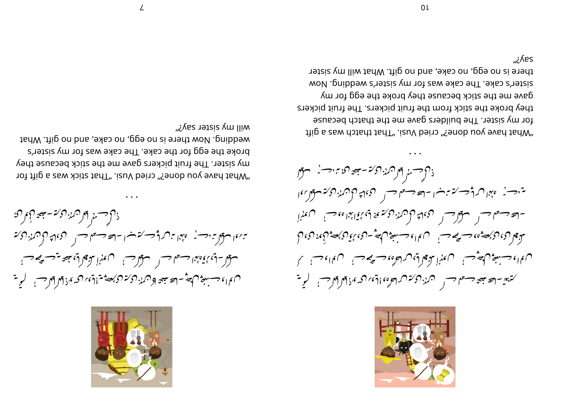

ذاكر حسسنر أثار اممنه المحمة سبعيه الإمراكلا <sup>سبب</sup> والسوقل بن دست مع پندا سرک است است است مستقل حسس السرک الرک مرز الرکته سولا - إني مجموعة الحسس المستواحب المستكمل المعلم المن مضيضة معتصرة ليست ويستصحب م الماء حسب في المصرِّ – الصيعيمة وهمدُ بركة المر*كبة مت*اقيد المحمد والأواض – المحربة المحمد

will my sister say?" wedding. Now there is no egg, no cake, and no gift. What broke the egg for the cake. The cake was for my sister's my sister. The fruit pickers gave me the stick because they "yand have you done?" cried Vusi. "That stick was a gift for



ذاكر حسنر أمرار الكركمة - جعير اكنة من المحسنية فستقرأ يتنزحسن فتمينا فسأشر وسنستنب المستصفحة المسرس فتحريج والمندر وكتف متواسقا - المحد حسس المستعمر حسن المعجمات المحركة من المجمع المجماعة المعلمة المستعمر المعلم المستعمر المعلم المستعمر سۇ يىل (مى) ھەم ھەم ھەم ھەم قىل ئاس بىل ئاھەت (ھى) ئاھى كىلىن كى بىل كىلىن كىلىن كىلىن كىلىن كىلىن كىلىن كىلىن<br>مەنبىي كىلىن كىلىن كىلىن ھەم ھەم قىل كىلىن كىلىن كىلىن كىلىن كىلىن كىلىن كىلىن كىلىن كىلىن كىلىن كىلىن كىلىن ك ں مان جسنگ کھیپ سے مہینا یہ پیمالی س<sup>7</sup>لھاہ، جسنگھ جسنا میں ان جسنا ک کتب<del>ی</del> - ہے ہیچہ جسٹم جس میں برکتر میں اور موہ اوتی مرکز میں اور جس کر یہ تھ

es/ن there is no egg, no cake, and no gift. What will my sister sister's cake. The cake was for my sister's wedding. Now gave me the stick because they broke the egg for my they broke the stick from the fruit pickers. The fruit pickers for my sister. The builders gave me the thatch because "Yild 6 zew dote?" cried Vusi. "That thatch was a gift